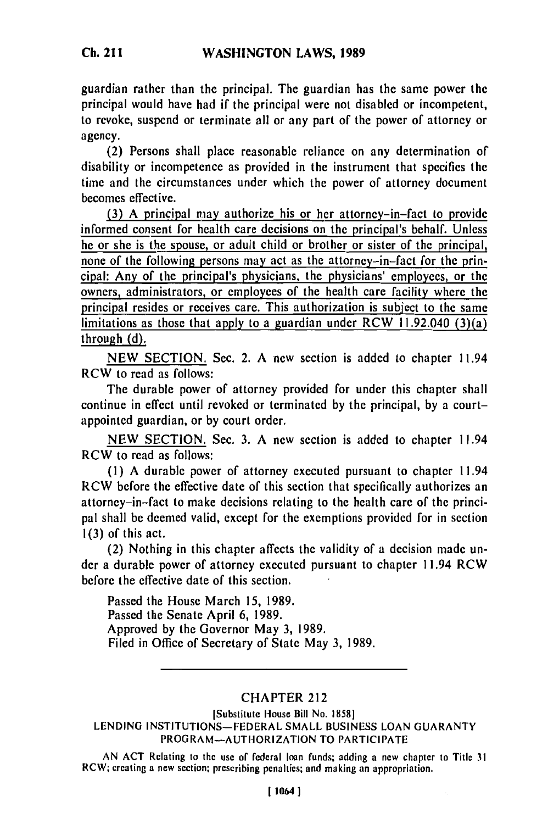guardian rather than the principal. The guardian has the same power the principal would have had if the principal were not disabled or incompetent, to revoke, suspend or terminate all or any part of the power of attorney or agency.

(2) Persons shall place reasonable reliance on any determination of disability or incompetence as provided in the instrument that specifies the time and the circumstances under which the power of attorney document becomes effective.

**(3)** A principal may authorize his or her attorney-in-fact to provide informed consent for health care decisions on the principal's behalf. Unless he or she is the spouse, or adult child or brother or sister of the principal, none of the following persons may act as the attorney-in-fact for the principal: Any of the principal's physicians, the physicians' employees, or the owners, administrators, or employees of the health care facility where the principal resides or receives care. This authorization is subject to the same limitations as those that apply to a guardian under RCW 11.92.040  $(3)(a)$ through **(d).**

**NEW SECTION.** Sec. 2. **A** new section is added to chapter 11.94 RCW to read as follows:

The durable power of attorney provided for under this chapter shall continue in effect until revoked or terminated **by** the principal, **by** a courtappointed guardian, or **by** court order.

**NEW SECTION.** Sec. **3. A** new section is added to chapter 11.94 RCW to read as follows:

**(1) A** durable power of attorney executed pursuant to chapter 11.94 RCW before the effective date of this section that specifically authorizes an attorney-in-fact to make decisions relating to the health care of the principal shall be deemed valid, except for the exemptions provided for in section **1(3)** of this act.

(2) Nothing in this chapter affects the validity of a decision made under a durable power of attorney executed pursuant to chapter **11.94** RCW before the effective date of this section.

Passed the House March **15, 1989.** Passed the Senate April 6, **1989.** Approved **by** the Governor May **3, 1989.** Filed in Office of Secretary of State May **3,** 1989.

## CHAPTER 212

[Substitute House Bill No. 1858] LENDING INSTITUTIONS-FEDERAL SMALL BUSINESS LOAN GUARANTY PROGRAM-AUTHORIZATION TO PARTICIPATE

AN ACT Relating to the use of federal loan funds; adding a new chapter to Title 31 RCW; creating a new section; prescribing penalties; and making an appropriation.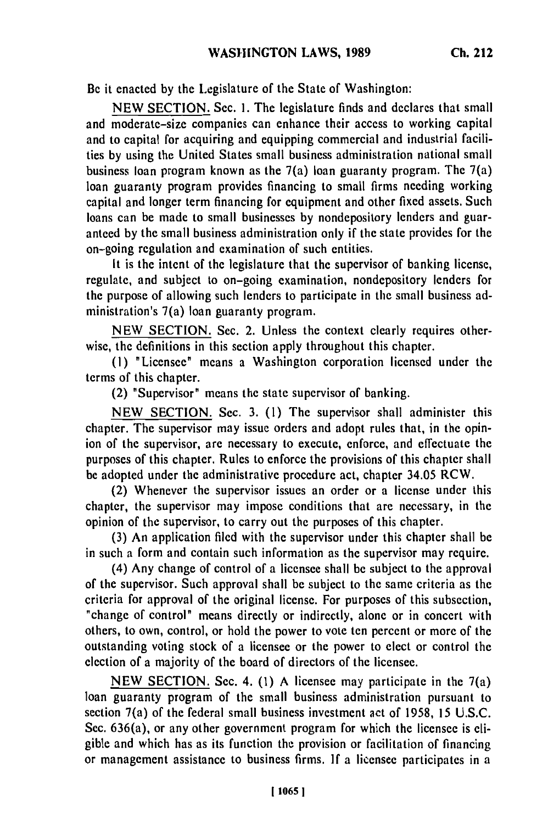Be it enacted by the Legislature of the State of Washington:

NEW SECTION. Sec. **1.** The legislature finds and declares that small and moderate-size companies can enhance their access to working capital and to capital for acquiring and equipping commercial and industrial facilities by using the United States small business administration national small business loan program known as the  $7(a)$  loan guaranty program. The  $7(a)$ loan guaranty program provides financing to small firms needing working capital and longer term financing for equipment and other fixed assets. Such loans can be made to small businesses by nondepository lenders and guaranteed by the small business administration only if the state provides for the on-going regulation and examination of such entities.

It is the intent of the legislature that the supervisor of banking license, regulate, and subject to on-going examination, nondepository lenders for the purpose of allowing such lenders to participate in the small business administration's 7(a) loan guaranty program.

NEW SECTION. Sec. 2. Unless the context clearly requires otherwise, the definitions in this section apply throughout this chapter.

(I) "Licensee" means a Washington corporation licensed under the terms of this chapter.

(2) "Supervisor" means the state supervisor of banking.

NEW SECTION. Sec. 3. (1) The supervisor shall administer this chapter. The supervisor may issue orders and adopt rules that, in the opinion of the supervisor, are necessary to execute, enforce, and effectuate the purposes of this chapter. Rules to enforce the provisions of this chapter shall be adopted under the administrative procedure act, chapter 34.05 RCW.

(2) Whenever the supervisor issues an order or a license under this chapter, the supervisor may impose conditions that are necessary, in the opinion of the supervisor, to carry out the purposes of this chapter.

(3) An application filed with the supervisor under this chapter shall be in such a form and contain such information as the supervisor may require.

(4) Any change of control of a licensee shall be subject to the approval of the supervisor. Such approval shall be subject to the same criteria as the criteria for approval of the original license. For purposes of this subsection, "change of control" means directly or indirectly, alone or in concert with others, to own, control, or hold the power to vote ten percent or more of the outstanding voting stock of a licensee or the power to elect or control the election of a majority of the board of directors of the licensee.

NEW SECTION. Sec. 4. (1) A licensee may participate in the 7(a) loan guaranty program of the small business administration pursuant to section 7(a) of the federal small business investment act of 1958, 15 U.S.C. Sec. 636(a), or any other government program for which the licensee is eligible and which has as its function the provision or facilitation of financing or management assistance to business firms. If a licensee participates in a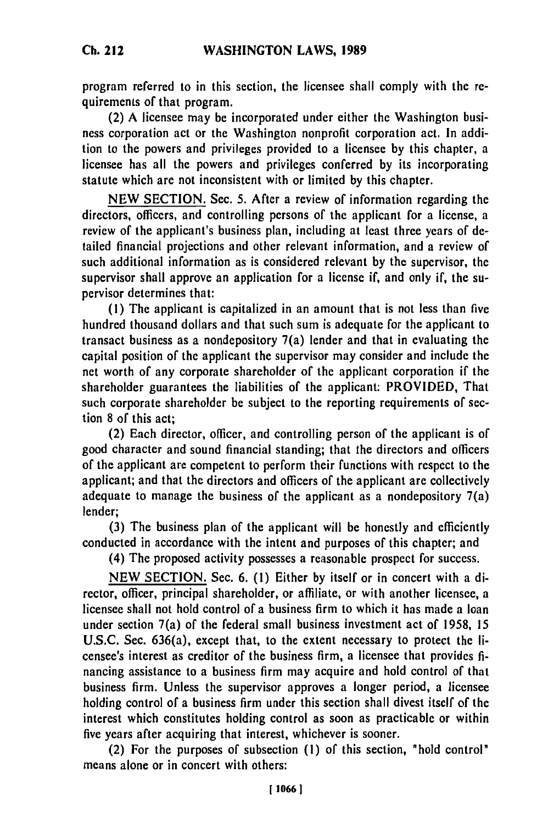program referred to in this section, the licensee shall comply with the requirements of that program.

(2) A licensee may be incorporated under either the Washington business corporation act or the Washington nonprofit corporation act. In addition to the powers and privileges provided to a licensee **by** this chapter, a licensee has all the powers and privileges conferred by its incorporating statute which are not inconsistent with or limited **by** this chapter.

NEW SECTION. Sec. 5. After a review of information regarding the directors, officers, and controlling persons of the applicant for a license, a review of the applicant's business plan, including at least three years of detailed financial projections and othcr relevant information, and a review of such additional information as is considered relevant **by** the supervisor, the supervisor shall approve an application for a license if, and only if, the supervisor determines that:

**(1)** The applicant is capitalized in an amount that is not less than five hundred thousand dollars and that such sum is adequate for the applicant to transact business as a nondepository 7(a) lender and that in evaluating the capital position of the applicant the supervisor may consider and include the net worth of any corporate shareholder of the applicant corporation if **the** shareholder guarantees the liabilities of the applicant: PROVIDED, That such corporate shareholder be subject to the reporting requirements of section **8** of this act;

(2) Each director, officer, and controlling person of the applicant is of good character and sound financial standing; that the directors and officers of the applicant are competent to perform their functions with respect **to** the applicant; and that the directors and officers of the applicant are collectively adequate to manage the business of the applicant as a nondepository  $7(a)$ lender;

**(3)** The business plan of the applicant will be honestly and efficiently conducted in accordance with the intent and purposes of this chapter; and

(4) The proposed activity possesses a reasonable prospect for success.

**NEW** SECTION. Sec. 6. **(1)** Either by itself or in concert with a director, officer, principal shareholder, or affiliate, or with another licensee, a licensee shall not hold control of a business firm to which it has made a loan under section 7(a) of the federal small business investment act of 1958, 15 U.S.C. Sec. 636(a), except that, to the extent necessary to protect the licensee's interest as creditor of the business firm, a licensee that provides **fi**nancing assistance to a business firm may acquire and hold control of that business firm. Unless the supervisor approves a longer period, a licensee holding control of a business firm under this section shall divest itself of the interest which constitutes holding control as soon as practicable or within five years after acquiring that interest, whichever is sooner.

(2) For the purposes of subsection **(1)** of this section, "hold control" means alone or in concert with others: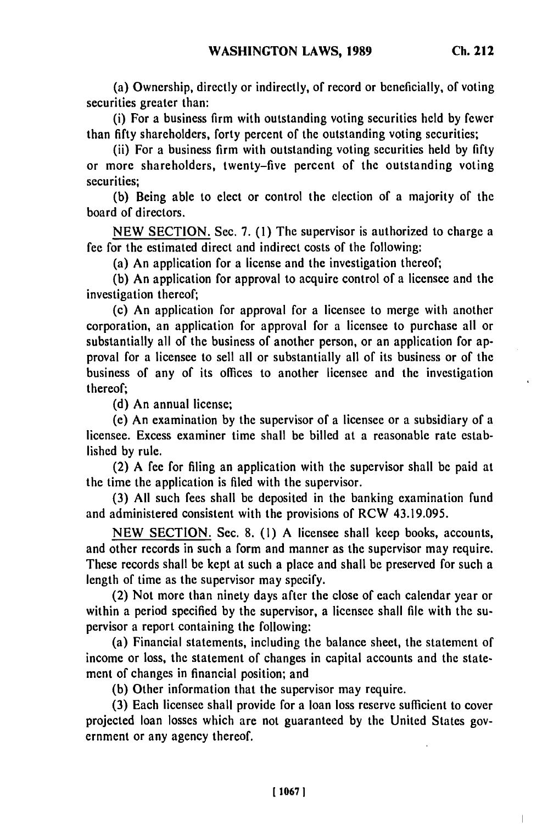(a) Ownership, directly or indirectly, of record or beneficially, of voting securities greater than:

(i) For a business firm with outstanding voting securities held by fewer than fifty shareholders, forty percent of the outstanding voting securities;

(ii) For a business firm with outstanding voting securities held by fifty or more shareholders, twenty-five percent of the outstanding voting securities;

(b) Being able to elect or control the election of a majority of the board of directors.

NEW SECTION. Sec. 7. (1) The supervisor is authorized to charge a fee for the estimated direct and indirect costs of the following:

(a) An application for a license and the investigation thereof;

(b) An application for approval to acquire control of a licensee and the investigation thereof;

(c) An application for approval for a licensee to merge with another corporation, an application for approval for a licensee to purchase all or substantially all of the business of another person, or an application for approval for a licensee to sell all or substantially all of its business or of the business of any of its offices to another licensee and the investigation thereof;

(d) An annual license;

(e) An examination by the supervisor of a licensee or a subsidiary of a licensee. Excess examiner time shall be billed at a reasonable rate established by rule.

(2) A fee for filing an application with the supervisor shall be paid at the time the application is filed with the supervisor.

(3) All such fees shall be deposited in the banking examination fund and administered consistent with the provisions of RCW 43.19.095.

NEW SECTION. Sec. 8. (1) A licensee shall keep books, accounts, and other records in such a form and manner as the supervisor may require. These records shall be kept at such a place and shall be preserved for such a length of time as the supervisor may specify.

(2) Not more than ninety days after the close of each calendar year or within a period specified by the supervisor, a licensee shall file with the supervisor a report containing the following:

(a) Financial statements, including the balance sheet, the statement of income or loss, the statement of changes in capital accounts and the statement of changes in financial position; and

**(b)** Other information that the supervisor may require.

(3) Each licensee shall provide for a loan loss reserve sufficient to cover projected loan losses which are not guaranteed by the United States government or any agency thereof.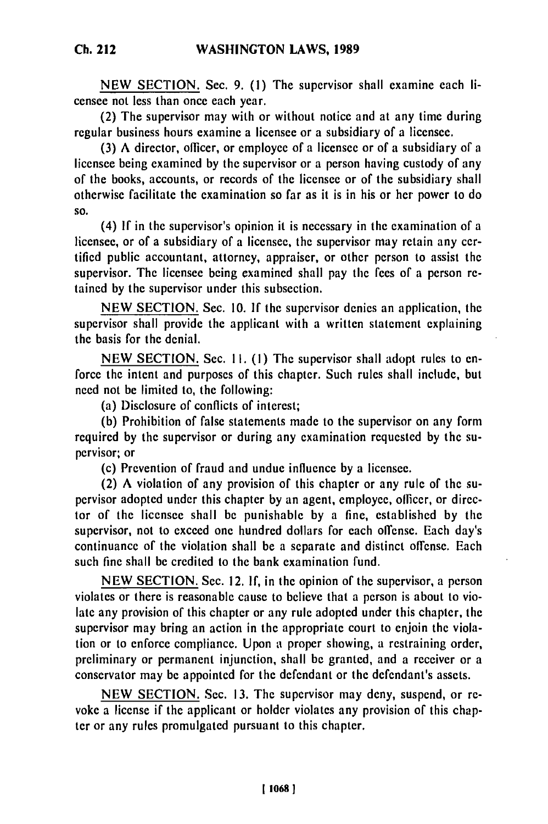**NEW SECTION.** Sec. **9. (1) The** supervisor shall examine each **li**censee not less than once each year.

(2) The supervisor may with or without notice and at any time during regular business hours examine a licensee or a subsidiary of a licensee.

(3) A director, officer, or employee of a licensee or of a subsidiary of a licensee being examined by the supervisor or a person having custody of any of the books, accounts, or records of the licensee or of the subsidiary shall otherwise facilitate the examination so far as it is in his or her power to do **SO.**

(4) If in the supervisor's opinion it is necessary in the examination of a licensee, or of a subsidiary of a licensee, the supervisor may retain any certified public accountant, attorney, appraiser, or other person to assist the supervisor. The licensee being examined shall pay the fees of a person retained by the supervisor under this subsection.

NEW SECTION. Sec. 10. If the supervisor denies an application, the supervisor shall provide the applicant with a written statement explaining the basis for the denial.

NEW SECTION. Sec. **11.** (I) The supervisor shall adopt rules to enforce the intent and purposes of this chapter. Such rules shall include, but need not be limited to, the following:

(a) Disclosure of conflicts of interest;

(b) Prohibition of false statements made to the supervisor on any form required by the supervisor or during any examination requested by the supervisor; or

(c) Prevention of fraud and undue influence by a licensee.

(2) A violation of any provision of this chapter or any rule of the supervisor adopted under this chapter by an agent, employee, officer, or director of the licensee shall be punishable by a fine, established by the supervisor, not to exceed one hundred dollars for each offense. Each day's continuance of the violation shall be a separate and distinct offense. Each such fine shall be credited to the bank examination fund.

NEW SECTION. Sec. 12. If, in the opinion of the supervisor, a person violates or there is reasonable cause to believe that a person is about to violate any provision of this chapter or any rule adopted under this chapter, the supervisor may bring an action in the appropriate court to enjoin the violation or to enforce compliance. Upon a proper showing, a restraining order, preliminary or permanent injunction, shall be granted, and a receiver or a conservator may be appointed for the defendant or the defendant's assets.

NEW SECTION. Sec. 13. The supervisor may deny, suspend, or revoke a license if the applicant or holder violates any provision of this chapter or any rules promulgated pursuant to this chapter.